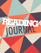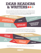# **DEAR READERS & WRITERS**

By now, you've discovered a new excellent collection of books for your indulgence all year long. But don't stop there! Visit your local library to find so many books your head will spin. And when you find that one book that really speaks your language, share it with your friends and compare thoughts. Why not enjoy all the fine luxuries of reading every day? **If you're ready to live on the wild side, be sure to check these writing goals off your list:**



You'll also notice that you're getting this nifty journal for your writing pleasure. Let's be real-if you want to be a better reader, you have to get the hang of the connection between reading and writing. All the best readers take notes and reflect through writing in order to reach new depths of understanding. How deep can you go? Don't stop with this journal! **Here are some writing goals:**



Remember, hang out with your friends, find new hobbies, and dive into your own interests outside of school; but don't forget how reading can be a part of each of those things, too.

**ENJOY!**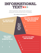# **INFORMATIONAL TEXT**

Reading and responding to a variety of text types is important as you grow as a reader and writer. Informational texts include biographies, autobiographies, and books about history, science, art, and geography.

### **After reading an informational text:**

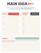

Identifying the main ideas and supporting details are building blocks for improving your reading comprehension and writing skills. **Choose a text and write 3 main ideas. Each main idea needs to have at least 3 supporting details.**



## **SUMMARIZE**

Using your notes above, write a brief summary of the text. Each word you write is \$0.10 and your summary should be no more than \$2.00 total.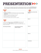# **PRESENTATION**

TED Talks are short powerful presentations used to spread insightful new ideas. **Visit TED.com to view examples, and then plan your own talk based on your own reading and research.**

| <b>GUIDELINES</b>                                                                                                                                                                                                                                                                                                     |                                             | <b>PLAN</b>                             |  |
|-----------------------------------------------------------------------------------------------------------------------------------------------------------------------------------------------------------------------------------------------------------------------------------------------------------------------|---------------------------------------------|-----------------------------------------|--|
| • Length: 6-10 minutes<br>• Present on a big idea that showcases your new and unique<br>perspective.<br>• Display your curiosity and passion for the topic.<br>• Perform your talk as if you're telling a story.<br>• Don't be afraid to use a touch of humor.<br>• TALK to your audience. (Don't read from a paper!) |                                             | Introduction and main idea<br>(thesis): |  |
| <b>PREPARE</b>                                                                                                                                                                                                                                                                                                        |                                             | Point 1:                                |  |
| Use the T-chart below to take notes. Left column: Record facts from<br>a nonfiction book. Right column: Record your own thoughts and<br>experiences pertaining to those facts, along with any further research you<br>conduct at the library.                                                                         |                                             |                                         |  |
| <b>Interesting facts/ideas:</b>                                                                                                                                                                                                                                                                                       | My thoughts/questions/<br>further research: | Point 2:                                |  |
|                                                                                                                                                                                                                                                                                                                       |                                             | Point 3:                                |  |
|                                                                                                                                                                                                                                                                                                                       |                                             |                                         |  |
|                                                                                                                                                                                                                                                                                                                       |                                             | <b>Conclusion:</b>                      |  |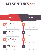

Reading and responding to a variety of text types is important as you grow as a reader and writer. Literature includes stories, dramas, and poetry.

**After reading a piece of literature, rewrite part of the text as a Twitter conversation with the characters or author. Here is an example from the book** *Holes* **following the Twitter guidelines of using 140 characters or less.**

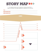# STORY MAP >>>

Use a graphic organizer tool to improve your reading comprehension. **Map out, identify, and analyze significant components of a text here.**

| <b>TITLE</b>              |  |
|---------------------------|--|
| <b>MAJOR CHARACTER(S)</b> |  |
| <b>MINOR CHARACTER(S)</b> |  |



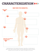## **CHARACTERIZATION**

## **WHAT DOES THE CHARACTER…**



Pretending that you're this character and using your notes above, on another piece of paper, write a letter to another character in the story explaining your actions or thoughts/ feelings at the end of the book. Don't forget to use evidence from the text.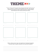

Choose a novel you read this summer with a theme that particularly resonates with you. **Draw a character's Instagram feed throughout the book, only choosing moments that represent a theme. Below the picture, include hashtags representing how that moment portrays the theme.**



**Define a theme of your novel, and explain how it develops throughout the book. Refer to specific moments in the novel (text evidence):**

\_\_\_\_\_\_\_\_\_\_\_\_\_\_\_\_\_\_\_\_\_\_\_\_\_\_\_\_\_\_\_\_\_\_\_\_\_\_\_\_\_\_\_\_\_\_\_\_\_\_\_\_\_\_\_\_\_\_\_\_\_\_\_\_\_\_\_\_\_\_\_\_\_\_\_\_\_\_\_\_\_\_\_\_\_\_\_\_\_\_\_\_\_\_

\_\_\_\_\_\_\_\_\_\_\_\_\_\_\_\_\_\_\_\_\_\_\_\_\_\_\_\_\_\_\_\_\_\_\_\_\_\_\_\_\_\_\_\_\_\_\_\_\_\_\_\_\_\_\_\_\_\_\_\_\_\_\_\_\_\_\_\_\_\_\_\_\_\_\_\_\_\_\_\_\_\_\_\_\_\_\_\_\_\_\_\_\_\_

\_\_\_\_\_\_\_\_\_\_\_\_\_\_\_\_\_\_\_\_\_\_\_\_\_\_\_\_\_\_\_\_\_\_\_\_\_\_\_\_\_\_\_\_\_\_\_\_\_\_\_\_\_\_\_\_\_\_\_\_\_\_\_\_\_\_\_\_\_\_\_\_\_\_\_\_\_\_\_\_\_\_\_\_\_\_\_\_\_\_\_\_\_\_

\_\_\_\_\_\_\_\_\_\_\_\_\_\_\_\_\_\_\_\_\_\_\_\_\_\_\_\_\_\_\_\_\_\_\_\_\_\_\_\_\_\_\_\_\_\_\_\_\_\_\_\_\_\_\_\_\_\_\_\_\_\_\_\_\_\_\_\_\_\_\_\_\_\_\_\_\_\_\_\_\_\_\_\_\_\_\_\_\_\_\_\_\_\_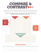

Throughout your life, you are comparing and contrasting things (eating at home or eating out!), but being asked to identify specific similarities and differences through analysis and writing requires practice!

#### **Use the Top Hat Organizer below to summarize and review critical similarities and differences between two characters or two books.**



### **DRAWING CONCLUSIONS**

Based on the above information, are the two characters/books more alike or different? Explain your response.

**\_\_\_\_\_\_\_\_\_\_\_\_\_\_\_\_\_\_\_\_\_\_\_\_\_\_\_\_\_\_\_\_\_\_\_\_\_\_\_\_\_\_\_\_\_\_\_\_\_\_\_\_\_\_\_\_\_\_\_\_\_\_\_\_\_\_\_\_\_\_\_\_\_\_\_\_\_\_\_\_\_\_\_\_\_\_\_\_\_\_\_\_\_\_\_\_\_\_\_\_\_\_\_\_\_\_\_\_\_\_\_\_\_\_\_\_\_\_\_\_\_\_\_\_\_\_\_\_\_\_\_\_\_**

**\_\_\_\_\_\_\_\_\_\_\_\_\_\_\_\_\_\_\_\_\_\_\_\_\_\_\_\_\_\_\_\_\_\_\_\_\_\_\_\_\_\_\_\_\_\_\_\_\_\_\_\_\_\_\_\_\_\_\_\_\_\_\_\_\_\_\_\_\_\_\_\_\_\_\_\_\_\_\_\_\_\_\_\_\_\_\_\_\_\_\_\_\_\_\_\_\_\_\_\_\_\_\_\_\_\_\_\_\_\_\_\_\_\_\_\_\_\_\_\_\_\_\_\_\_\_\_\_\_\_\_\_\_**

**\_\_\_\_\_\_\_\_\_\_\_\_\_\_\_\_\_\_\_\_\_\_\_\_\_\_\_\_\_\_\_\_\_\_\_\_\_\_\_\_\_\_\_\_\_\_\_\_\_\_\_\_\_\_\_\_\_\_\_\_\_\_\_\_\_\_\_\_\_\_\_\_\_\_\_\_\_\_\_\_\_\_\_\_\_\_\_\_\_\_\_\_\_\_\_\_\_\_\_\_\_\_\_\_\_\_\_\_\_\_\_\_\_\_\_\_\_\_\_\_\_\_\_\_\_\_\_\_\_\_\_\_\_**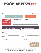# **BOOK REVIEW**

This page is for planning a book review on any book you read this summer. Since this is prewriting, don't worry about complete sentences. **Your end goal is to write an article explaining why you would or would not recommend this book to other readers.**

|                                                                                                                                                                                       | One of the first sentences of your article should mention the<br>title of the book, the date it was published, and the author.                                                                                                                                                                                                                                                              |                  | Fill in how many stars out of<br>5 you give this book!                                                                                                                 |
|---------------------------------------------------------------------------------------------------------------------------------------------------------------------------------------|---------------------------------------------------------------------------------------------------------------------------------------------------------------------------------------------------------------------------------------------------------------------------------------------------------------------------------------------------------------------------------------------|------------------|------------------------------------------------------------------------------------------------------------------------------------------------------------------------|
| After you name the book,<br>plan on summarizing what<br>happened in the book.<br>Then, introduce your main<br>argument: Did you like it<br>or not, and what's your<br>biggest reason? | <b>Introduction, Book Summary, Main Argument:</b>                                                                                                                                                                                                                                                                                                                                           |                  |                                                                                                                                                                        |
|                                                                                                                                                                                       | Here you can plan what you like or dislike about the book. Are the characters realistic? Does the author use captivating language?<br>Is the ending what you hoped for? Be sure to back up your argument with evidence from the book! Even if you love the book, see if<br>you can think of at least one thing you don't like. If you hate the book, try to think of at least one positive. |                  |                                                                                                                                                                        |
| Likes:                                                                                                                                                                                |                                                                                                                                                                                                                                                                                                                                                                                             | <b>Dislikes:</b> |                                                                                                                                                                        |
|                                                                                                                                                                                       |                                                                                                                                                                                                                                                                                                                                                                                             |                  |                                                                                                                                                                        |
|                                                                                                                                                                                       |                                                                                                                                                                                                                                                                                                                                                                                             |                  |                                                                                                                                                                        |
|                                                                                                                                                                                       |                                                                                                                                                                                                                                                                                                                                                                                             |                  |                                                                                                                                                                        |
|                                                                                                                                                                                       |                                                                                                                                                                                                                                                                                                                                                                                             |                  |                                                                                                                                                                        |
|                                                                                                                                                                                       |                                                                                                                                                                                                                                                                                                                                                                                             |                  |                                                                                                                                                                        |
|                                                                                                                                                                                       |                                                                                                                                                                                                                                                                                                                                                                                             |                  |                                                                                                                                                                        |
| <b>Conclusion:</b>                                                                                                                                                                    |                                                                                                                                                                                                                                                                                                                                                                                             |                  | Plan a conclusion paragraph<br>that wraps up your thoughts.<br>Remind us whether you do<br>or don't recommend the<br>book, to whom you would<br>recommend it, and why? |

**Now that your prewriting is done, write your first draft on a separate piece of paper. This DOES need to be in complete sentences. Have someone review it before writing your final draft, and if you're up for it, try to post your review online.**